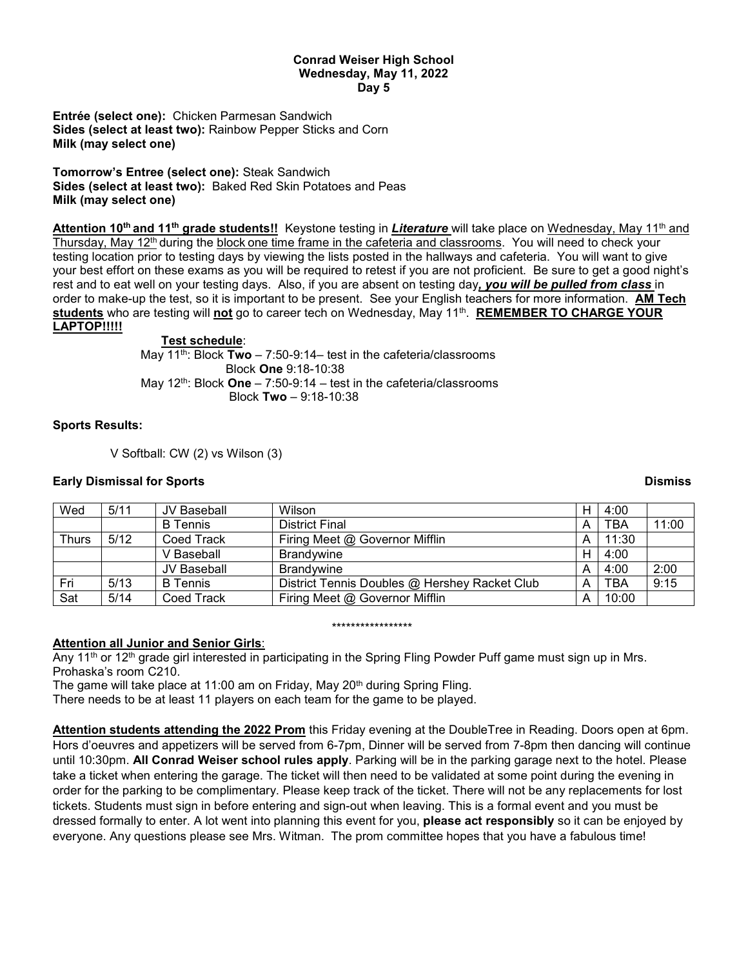### **Conrad Weiser High School Wednesday, May 11, 2022 Day 5**

**Entrée (select one):** Chicken Parmesan Sandwich **Sides (select at least two):** Rainbow Pepper Sticks and Corn **Milk (may select one)**

**Tomorrow's Entree (select one):** Steak Sandwich **Sides (select at least two):** Baked Red Skin Potatoes and Peas **Milk (may select one)**

Attention 10<sup>th</sup> and 11<sup>th</sup> grade students!! Keystone testing in *Literature* will take place on Wednesday, May 11<sup>th</sup> and Thursday. May 12<sup>th</sup> during the block one time frame in the cafeteria and classrooms. You will need to check your testing location prior to testing days by viewing the lists posted in the hallways and cafeteria. You will want to give your best effort on these exams as you will be required to retest if you are not proficient. Be sure to get a good night's rest and to eat well on your testing days. Also, if you are absent on testing day*, you will be pulled from class* in order to make-up the test, so it is important to be present. See your English teachers for more information. **AM Tech students** who are testing will **not** go to career tech on Wednesday, May 11th. **REMEMBER TO CHARGE YOUR LAPTOP!!!!!**

## **Test schedule**:

May 11th: Block **Two** – 7:50-9:14– test in the cafeteria/classrooms Block **One** 9:18-10:38 May 12th: Block **One** – 7:50-9:14 – test in the cafeteria/classrooms Block **Two** – 9:18-10:38

## **Sports Results:**

V Softball: CW (2) vs Wilson (3)

# **Early Dismissal for Sports Dismiss**

| Wed          | 5/11 | JV Baseball     | Wilson                                        | H | 4:00       |       |
|--------------|------|-----------------|-----------------------------------------------|---|------------|-------|
|              |      | <b>B</b> Tennis | <b>District Final</b>                         | А | <b>TBA</b> | 11:00 |
| <b>Thurs</b> | 5/12 | Coed Track      | Firing Meet @ Governor Mifflin                | А | 11:30      |       |
|              |      | V Baseball      | <b>Brandywine</b>                             | H | 4:00       |       |
|              |      | JV Baseball     | <b>Brandywine</b>                             | А | 4:00       | 2:00  |
| Fri          | 5/13 | <b>B</b> Tennis | District Tennis Doubles @ Hershey Racket Club | А | TBA        | 9:15  |
| Sat          | 5/14 | Coed Track      | Firing Meet @ Governor Mifflin                | А | 10:00      |       |

### \*\*\*\*\*\*\*\*\*\*\*\*\*\*\*\*\*

# **Attention all Junior and Senior Girls**:

Any 11<sup>th</sup> or 12<sup>th</sup> grade girl interested in participating in the Spring Fling Powder Puff game must sign up in Mrs. Prohaska's room C210.

The game will take place at 11:00 am on Friday, May 20<sup>th</sup> during Spring Fling.

There needs to be at least 11 players on each team for the game to be played.

**Attention students attending the 2022 Prom** this Friday evening at the DoubleTree in Reading. Doors open at 6pm. Hors d'oeuvres and appetizers will be served from 6-7pm, Dinner will be served from 7-8pm then dancing will continue until 10:30pm. **All Conrad Weiser school rules apply**. Parking will be in the parking garage next to the hotel. Please take a ticket when entering the garage. The ticket will then need to be validated at some point during the evening in order for the parking to be complimentary. Please keep track of the ticket. There will not be any replacements for lost tickets. Students must sign in before entering and sign-out when leaving. This is a formal event and you must be dressed formally to enter. A lot went into planning this event for you, **please act responsibly** so it can be enjoyed by everyone. Any questions please see Mrs. Witman. The prom committee hopes that you have a fabulous time!